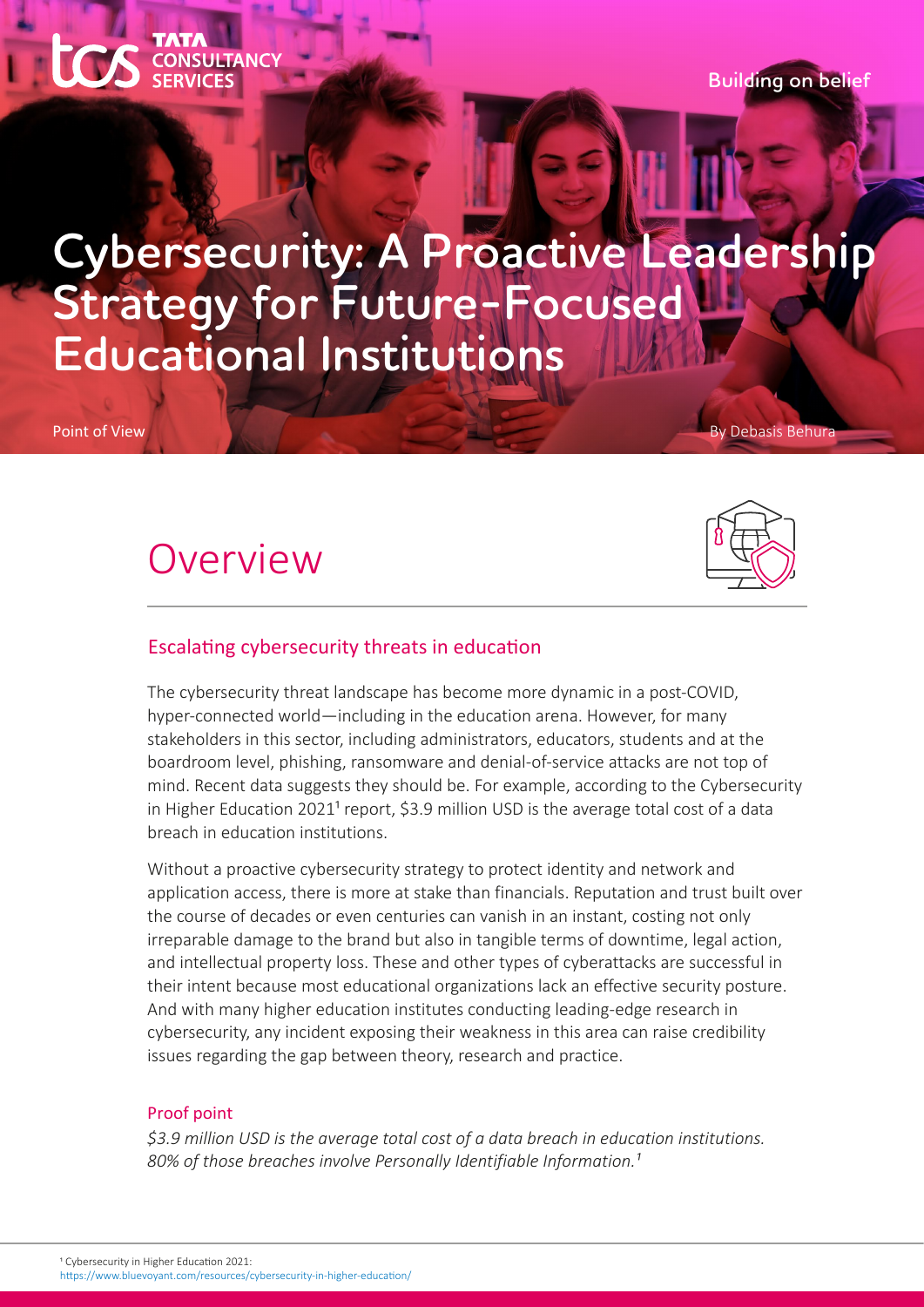**Building on belief**

# **Cybersecurity: A Proactive Leadership Strategy for Future-Focused Educational Institutions**

Point of View By Debasis Behuraan By Debasis Behuraan By Debasis Behuraan By Debasis Behuraan By Debasis Behur

## Overview

**SULTANCY** 



### Escalating cybersecurity threats in education

The cybersecurity threat landscape has become more dynamic in a post-COVID, hyper-connected world—including in the education arena. However, for many stakeholders in this sector, including administrators, educators, students and at the boardroom level, phishing, ransomware and denial-of-service attacks are not top of mind. Recent data suggests they should be. For example, according to the Cybersecurity in Higher Education 2021<sup>1</sup> report, \$3.9 million USD is the average total cost of a data breach in education institutions.

Without a proactive cybersecurity strategy to protect identity and network and application access, there is more at stake than financials. Reputation and trust built over the course of decades or even centuries can vanish in an instant, costing not only irreparable damage to the brand but also in tangible terms of downtime, legal action, and intellectual property loss. These and other types of cyberattacks are successful in their intent because most educational organizations lack an effective security posture. And with many higher education institutes conducting leading-edge research in cybersecurity, any incident exposing their weakness in this area can raise credibility issues regarding the gap between theory, research and practice.

### Proof point

*\$3.9 million USD is the average total cost of a data breach in education institutions.*  80% of those breaches involve Personally Identifiable Information.<sup>1</sup>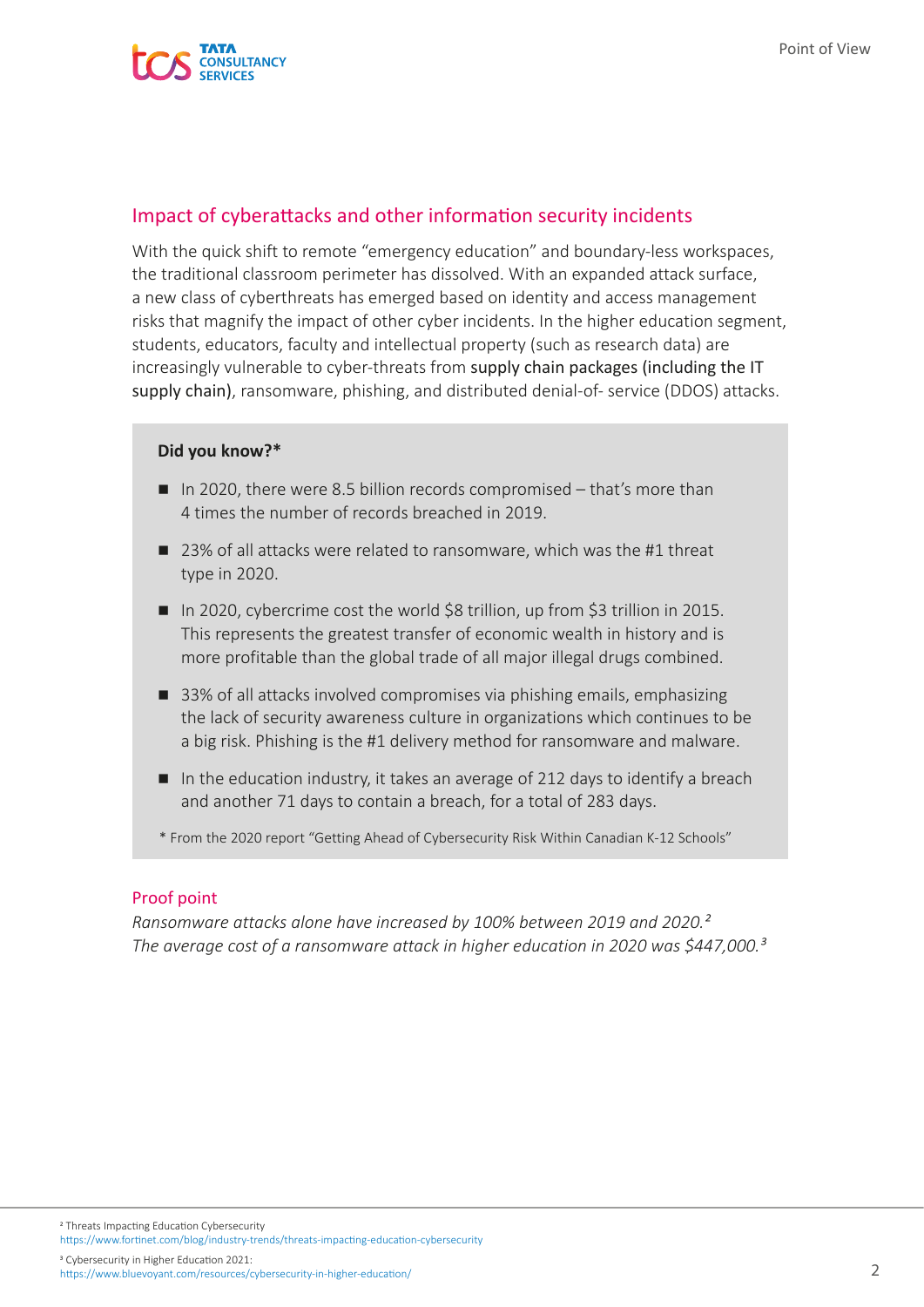### Impact of cyberattacks and other information security incidents

With the quick shift to remote "emergency education" and boundary-less workspaces, the traditional classroom perimeter has dissolved. With an expanded attack surface, a new class of cyberthreats has emerged based on identity and access management risks that magnify the impact of other cyber incidents. In the higher education segment, students, educators, faculty and intellectual property (such as research data) are increasingly vulnerable to cyber-threats from supply chain packages (including the IT supply chain), ransomware, phishing, and distributed denial-of- service (DDOS) attacks.

### **Did you know?\***

- In 2020, there were 8.5 billion records compromised  $-$  that's more than 4 times the number of records breached in 2019.
- 23% of all attacks were related to ransomware, which was the #1 threat type in 2020.
- In 2020, cybercrime cost the world \$8 trillion, up from \$3 trillion in 2015. This represents the greatest transfer of economic wealth in history and is more profitable than the global trade of all major illegal drugs combined.
- 33% of all attacks involved compromises via phishing emails, emphasizing the lack of security awareness culture in organizations which continues to be a big risk. Phishing is the #1 delivery method for ransomware and malware.
- In the education industry, it takes an average of 212 days to identify a breach and another 71 days to contain a breach, for a total of 283 days.
- \* From the 2020 report "Getting Ahead of Cybersecurity Risk Within Canadian K-12 Schools"

#### Proof point

*Ransomware attacks alone have increased by 100% between 2019 and 2020.² The average cost of a ransomware attack in higher education in 2020 was \$447,000.³*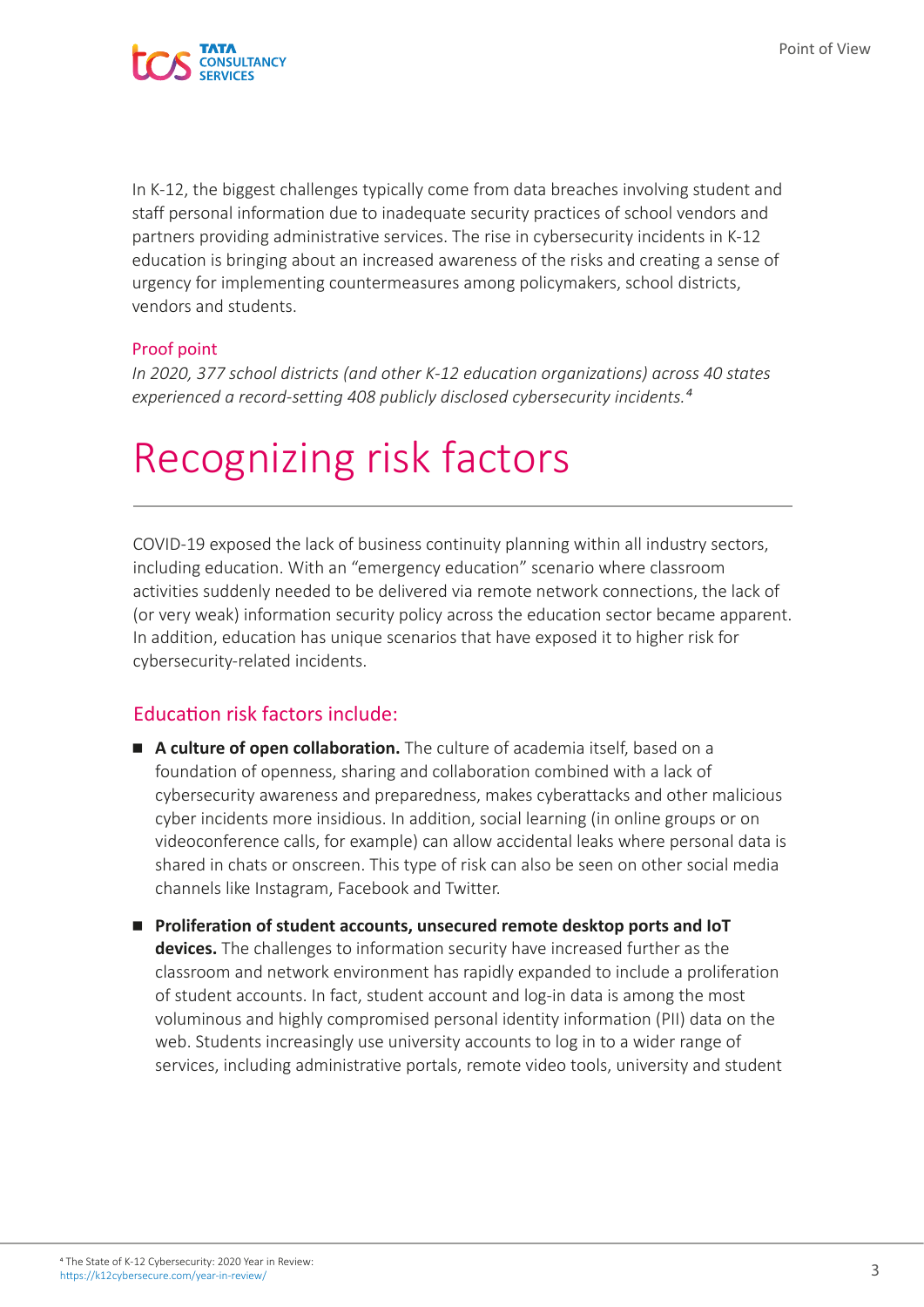

In K-12, the biggest challenges typically come from data breaches involving student and staff personal information due to inadequate security practices of school vendors and partners providing administrative services. The rise in cybersecurity incidents in K-12 education is bringing about an increased awareness of the risks and creating a sense of urgency for implementing countermeasures among policymakers, school districts, vendors and students.

### Proof point

*In 2020, 377 school districts (and other K-12 education organizations) across 40 states experienced a record-setting 408 publicly disclosed cybersecurity incidents.⁴*

# Recognizing risk factors

COVID-19 exposed the lack of business continuity planning within all industry sectors, including education. With an "emergency education" scenario where classroom activities suddenly needed to be delivered via remote network connections, the lack of (or very weak) information security policy across the education sector became apparent. In addition, education has unique scenarios that have exposed it to higher risk for cybersecurity-related incidents.

### Education risk factors include:

- **A culture of open collaboration.** The culture of academia itself, based on a foundation of openness, sharing and collaboration combined with a lack of cybersecurity awareness and preparedness, makes cyberattacks and other malicious cyber incidents more insidious. In addition, social learning (in online groups or on videoconference calls, for example) can allow accidental leaks where personal data is shared in chats or onscreen. This type of risk can also be seen on other social media channels like Instagram, Facebook and Twitter.
- Proliferation of student accounts, unsecured remote desktop ports and IoT **devices.** The challenges to information security have increased further as the classroom and network environment has rapidly expanded to include a proliferation of student accounts. In fact, student account and log-in data is among the most voluminous and highly compromised personal identity information (PII) data on the web. Students increasingly use university accounts to log in to a wider range of services, including administrative portals, remote video tools, university and student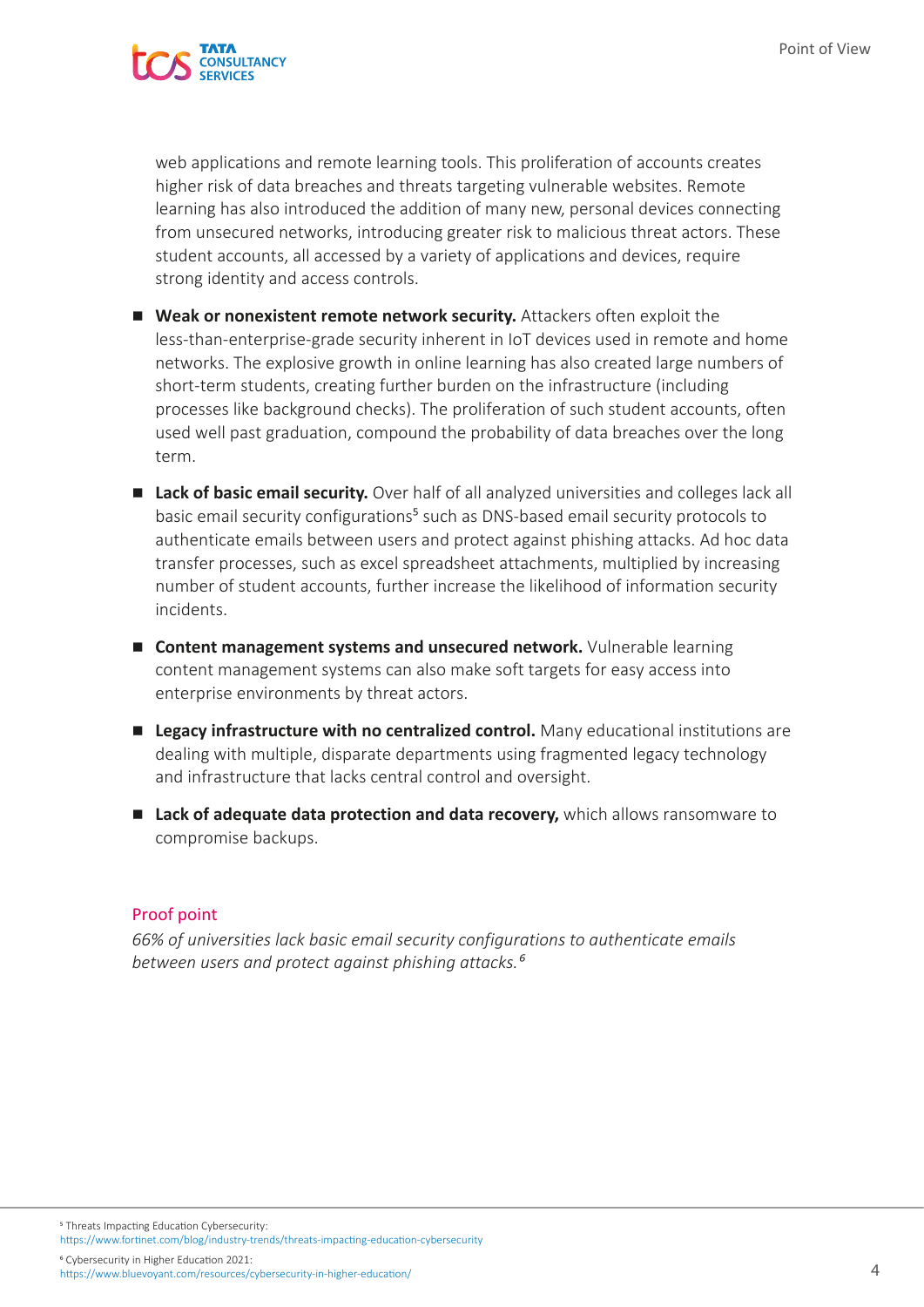

web applications and remote learning tools. This proliferation of accounts creates higher risk of data breaches and threats targeting vulnerable websites. Remote learning has also introduced the addition of many new, personal devices connecting from unsecured networks, introducing greater risk to malicious threat actors. These student accounts, all accessed by a variety of applications and devices, require strong identity and access controls.

- **Weak or nonexistent remote network security.** Attackers often exploit the less-than-enterprise-grade security inherent in IoT devices used in remote and home networks. The explosive growth in online learning has also created large numbers of short-term students, creating further burden on the infrastructure (including processes like background checks). The proliferation of such student accounts, often used well past graduation, compound the probability of data breaches over the long term.
- Lack of basic email security. Over half of all analyzed universities and colleges lack all basic email security configurations<sup>5</sup> such as DNS-based email security protocols to authenticate emails between users and protect against phishing attacks. Ad hoc data transfer processes, such as excel spreadsheet attachments, multiplied by increasing number of student accounts, further increase the likelihood of information security incidents.
- **E** Content management systems and unsecured network. Vulnerable learning content management systems can also make soft targets for easy access into enterprise environments by threat actors.
- **Legacy infrastructure with no centralized control.** Many educational institutions are dealing with multiple, disparate departments using fragmented legacy technology and infrastructure that lacks central control and oversight.
- **Lack of adequate data protection and data recovery,** which allows ransomware to compromise backups.

#### Proof point

*66% of universities lack basic email security configurations to authenticate emails between users and protect against phishing attacks.⁶*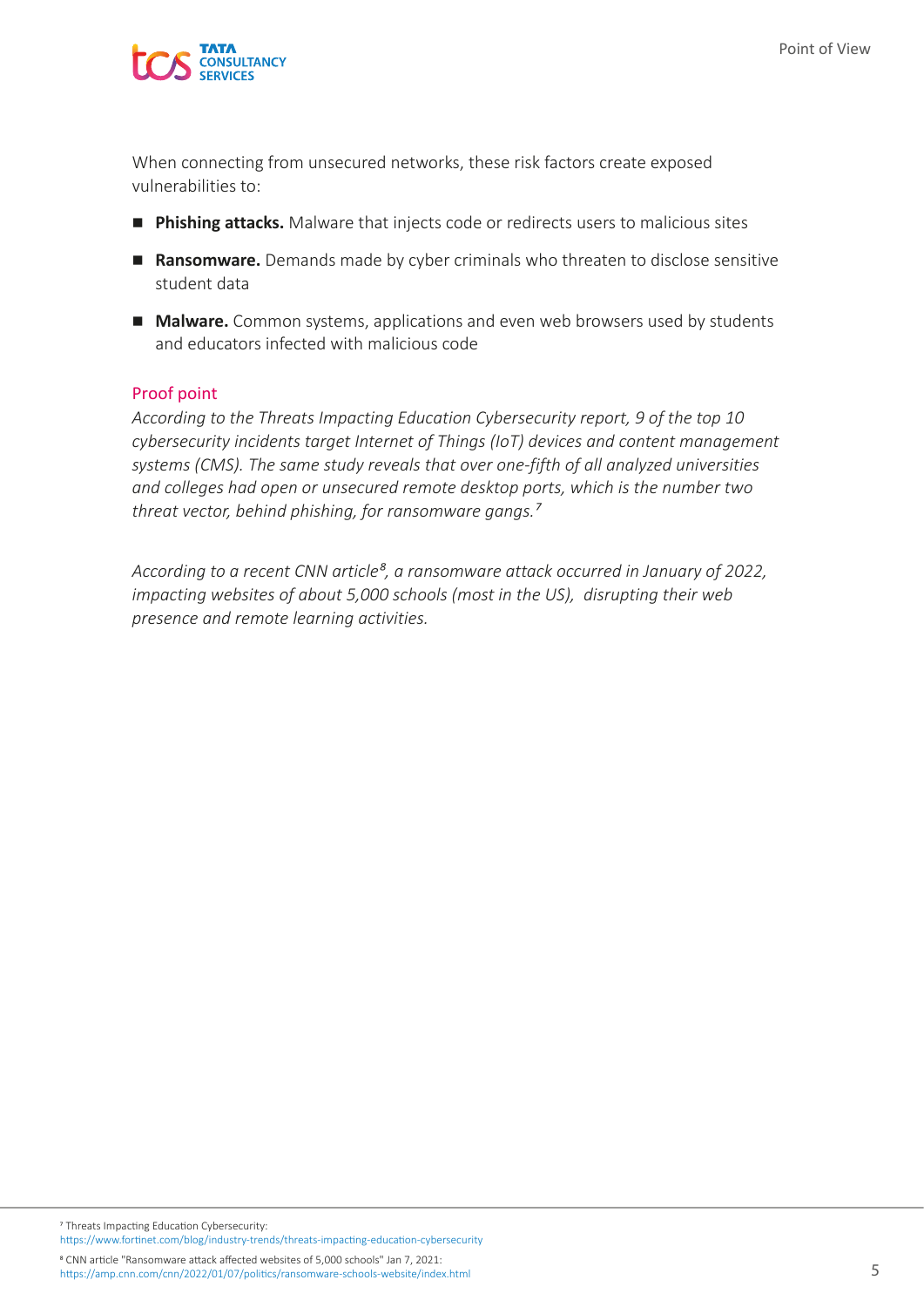

When connecting from unsecured networks, these risk factors create exposed vulnerabilities to:

- **Phishing attacks.** Malware that injects code or redirects users to malicious sites
- **Ransomware.** Demands made by cyber criminals who threaten to disclose sensitive student data
- **Malware.** Common systems, applications and even web browsers used by students and educators infected with malicious code

#### Proof point

*According to the Threats Impacting Education Cybersecurity report, 9 of the top 10 cybersecurity incidents target Internet of Things (IoT) devices and content management systems (CMS). The same study reveals that over one-fifth of all analyzed universities and colleges had open or unsecured remote desktop ports, which is the number two threat vector, behind phishing, for ransomware gangs.⁷*

*According to a recent CNN article⁸, a ransomware attack occurred in January of 2022, impacting websites of about 5,000 schools (most in the US), disrupting their web presence and remote learning activities.*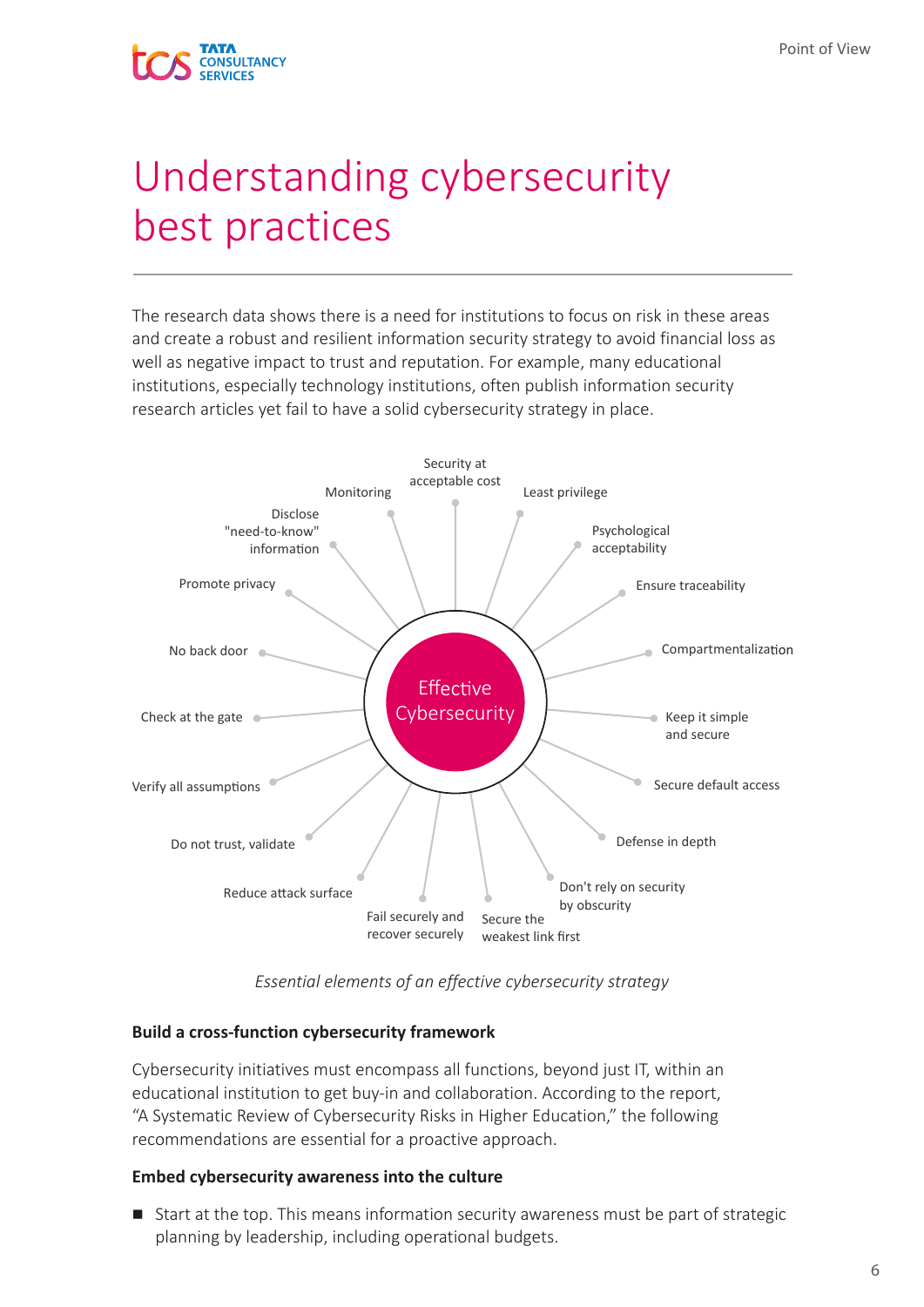

## Understanding cybersecurity best practices

The research data shows there is a need for institutions to focus on risk in these areas and create a robust and resilient information security strategy to avoid financial loss as well as negative impact to trust and reputation. For example, many educational institutions, especially technology institutions, often publish information security research articles yet fail to have a solid cybersecurity strategy in place.



*Essential elements of an effective cybersecurity strategy*

### **Build a cross-function cybersecurity framework**

Cybersecurity initiatives must encompass all functions, beyond just IT, within an educational institution to get buy-in and collaboration. According to the report, "A Systematic Review of Cybersecurity Risks in Higher Education," the following recommendations are essential for a proactive approach.

#### **Embed cybersecurity awareness into the culture**

■ Start at the top. This means information security awareness must be part of strategic planning by leadership, including operational budgets.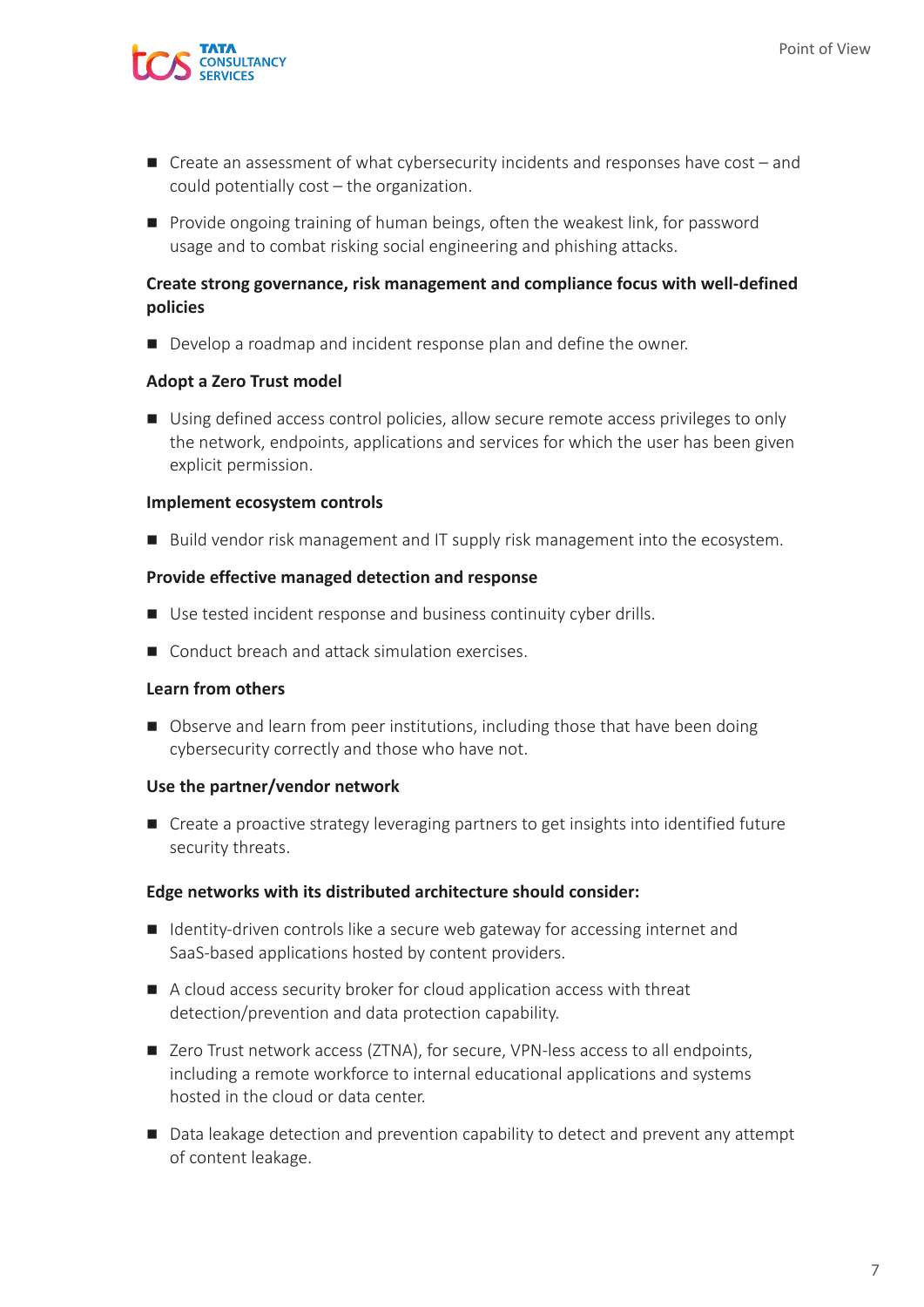

- $\blacksquare$  Create an assessment of what cybersecurity incidents and responses have cost and could potentially cost – the organization.
- **Provide ongoing training of human beings, often the weakest link, for password** usage and to combat risking social engineering and phishing attacks.

### **Create strong governance, risk management and compliance focus with well-defined policies**

Develop a roadmap and incident response plan and define the owner.

#### **Adopt a Zero Trust model**

■ Using defined access control policies, allow secure remote access privileges to only the network, endpoints, applications and services for which the user has been given explicit permission.

#### **Implement ecosystem controls**

■ Build vendor risk management and IT supply risk management into the ecosystem.

#### **Provide effective managed detection and response**

- Use tested incident response and business continuity cyber drills.
- Conduct breach and attack simulation exercises.

#### **Learn from others**

■ Observe and learn from peer institutions, including those that have been doing cybersecurity correctly and those who have not.

### **Use the partner/vendor network**

■ Create a proactive strategy leveraging partners to get insights into identified future security threats.

#### **Edge networks with its distributed architecture should consider:**

- Identity-driven controls like a secure web gateway for accessing internet and SaaS-based applications hosted by content providers.
- A cloud access security broker for cloud application access with threat detection/prevention and data protection capability.
- Zero Trust network access (ZTNA), for secure, VPN-less access to all endpoints, including a remote workforce to internal educational applications and systems hosted in the cloud or data center.
- Data leakage detection and prevention capability to detect and prevent any attempt of content leakage.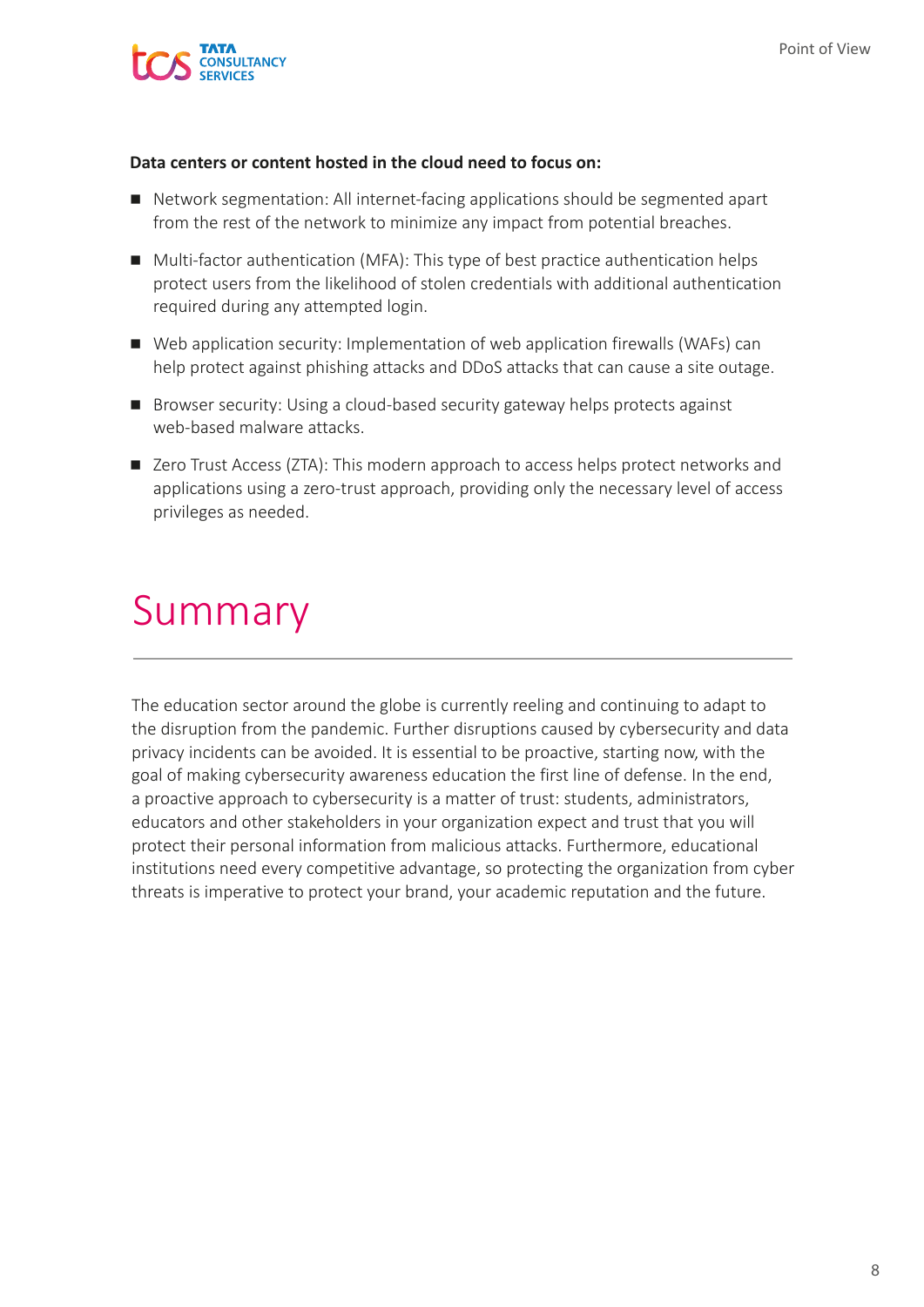

#### **Data centers or content hosted in the cloud need to focus on:**

- Network segmentation: All internet-facing applications should be segmented apart from the rest of the network to minimize any impact from potential breaches.
- Multi-factor authentication (MFA): This type of best practice authentication helps protect users from the likelihood of stolen credentials with additional authentication required during any attempted login.
- Web application security: Implementation of web application firewalls (WAFs) can help protect against phishing attacks and DDoS attacks that can cause a site outage.
- Browser security: Using a cloud-based security gateway helps protects against web-based malware attacks.
- Zero Trust Access (ZTA): This modern approach to access helps protect networks and applications using a zero-trust approach, providing only the necessary level of access privileges as needed.

## Summary

The education sector around the globe is currently reeling and continuing to adapt to the disruption from the pandemic. Further disruptions caused by cybersecurity and data privacy incidents can be avoided. It is essential to be proactive, starting now, with the goal of making cybersecurity awareness education the first line of defense. In the end, a proactive approach to cybersecurity is a matter of trust: students, administrators, educators and other stakeholders in your organization expect and trust that you will protect their personal information from malicious attacks. Furthermore, educational institutions need every competitive advantage, so protecting the organization from cyber threats is imperative to protect your brand, your academic reputation and the future.